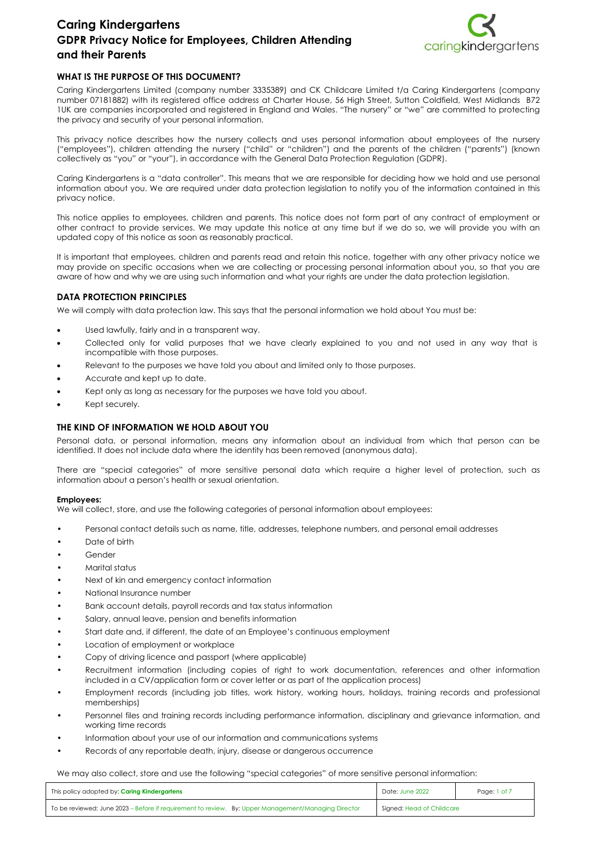

## **WHAT IS THE PURPOSE OF THIS DOCUMENT?**

Caring Kindergartens Limited (company number 3335389) and CK Childcare Limited t/a Caring Kindergartens (company number 07181882) with its registered office address at Charter House, 56 High Street, Sutton Coldfield, West Midlands B72 1UK are companies incorporated and registered in England and Wales. "The nursery" or "we" are committed to protecting the privacy and security of your personal information.

This privacy notice describes how the nursery collects and uses personal information about employees of the nursery ("employees"), children attending the nursery ("child" or "children") and the parents of the children ("parents") (known collectively as "you" or "your"), in accordance with the General Data Protection Regulation (GDPR).

Caring Kindergartens is a "data controller". This means that we are responsible for deciding how we hold and use personal information about you. We are required under data protection legislation to notify you of the information contained in this privacy notice.

This notice applies to employees, children and parents. This notice does not form part of any contract of employment or other contract to provide services. We may update this notice at any time but if we do so, we will provide you with an updated copy of this notice as soon as reasonably practical.

It is important that employees, children and parents read and retain this notice, together with any other privacy notice we may provide on specific occasions when we are collecting or processing personal information about you, so that you are aware of how and why we are using such information and what your rights are under the data protection legislation.

## **DATA PROTECTION PRINCIPLES**

We will comply with data protection law. This says that the personal information we hold about You must be:

- Used lawfully, fairly and in a transparent way.
- Collected only for valid purposes that we have clearly explained to you and not used in any way that is incompatible with those purposes.
- Relevant to the purposes we have told you about and limited only to those purposes.
- Accurate and kept up to date.
- Kept only as long as necessary for the purposes we have told you about.
- Kept securely.

## **THE KIND OF INFORMATION WE HOLD ABOUT YOU**

Personal data, or personal information, means any information about an individual from which that person can be identified. It does not include data where the identity has been removed (anonymous data).

There are "special categories" of more sensitive personal data which require a higher level of protection, such as information about a person's health or sexual orientation.

## **Employees:**

We will collect, store, and use the following categories of personal information about employees:

- Personal contact details such as name, title, addresses, telephone numbers, and personal email addresses
- Date of birth
- Gender
- Marital status
- Next of kin and emergency contact information
- National Insurance number
- Bank account details, payroll records and tax status information
- Salary, annual leave, pension and benefits information
- Start date and, if different, the date of an Employee's continuous employment
- Location of employment or workplace
- Copy of driving licence and passport (where applicable)
- Recruitment information (including copies of right to work documentation, references and other information included in a CV/application form or cover letter or as part of the application process)
- Employment records (including job titles, work history, working hours, holidays, training records and professional memberships)
- Personnel files and training records including performance information, disciplinary and grievance information, and working time records
- Information about your use of our information and communications systems
- Records of any reportable death, injury, disease or dangerous occurrence

We may also collect, store and use the following "special categories" of more sensitive personal information:

| This policy adopted by: Caring Kindergartens                                                        | Date: June 2022           | Page: 1 of 7 |
|-----------------------------------------------------------------------------------------------------|---------------------------|--------------|
| To be reviewed: June 2023 – Before if requirement to review. By: Upper Management/Managing Director | Signed: Head of Childcare |              |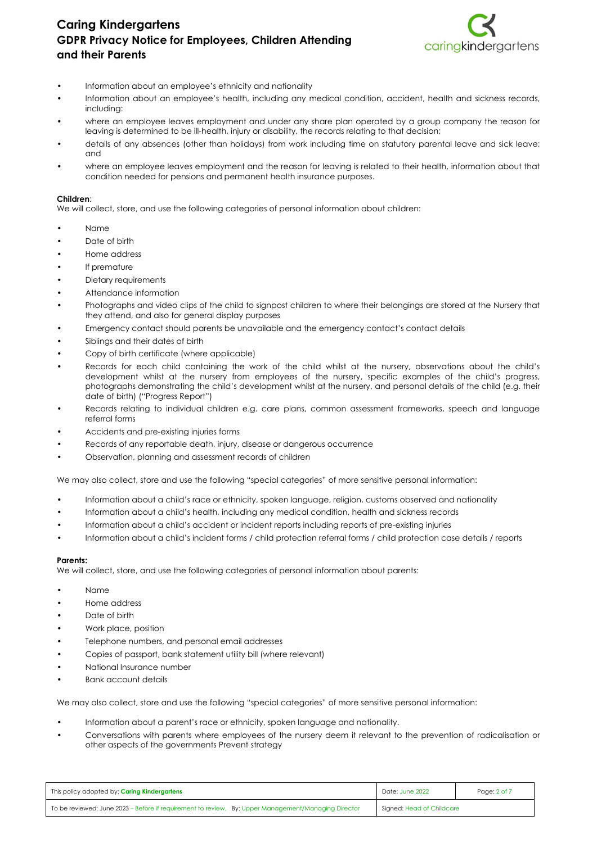

- Information about an employee's ethnicity and nationality
- Information about an employee's health, including any medical condition, accident, health and sickness records, including:
- where an employee leaves employment and under any share plan operated by a group company the reason for leaving is determined to be ill-health, injury or disability, the records relating to that decision;
- details of any absences (other than holidays) from work including time on statutory parental leave and sick leave; and
- where an employee leaves employment and the reason for leaving is related to their health, information about that condition needed for pensions and permanent health insurance purposes.

#### **Children**:

We will collect, store, and use the following categories of personal information about children:

- Name
- Date of birth
- Home address
- If premature
- Dietary requirements
- Attendance information
- Photographs and video clips of the child to signpost children to where their belongings are stored at the Nursery that they attend, and also for general display purposes
- Emergency contact should parents be unavailable and the emergency contact's contact details
- Siblings and their dates of birth
- Copy of birth certificate (where applicable)
- Records for each child containing the work of the child whilst at the nursery, observations about the child's development whilst at the nursery from employees of the nursery, specific examples of the child's progress, photographs demonstrating the child's development whilst at the nursery, and personal details of the child (e.g. their date of birth) ("Progress Report")
- Records relating to individual children e.g. care plans, common assessment frameworks, speech and language referral forms
- Accidents and pre-existing injuries forms
- Records of any reportable death, injury, disease or dangerous occurrence
- Observation, planning and assessment records of children

We may also collect, store and use the following "special categories" of more sensitive personal information:

- Information about a child's race or ethnicity, spoken language, religion, customs observed and nationality
- Information about a child's health, including any medical condition, health and sickness records
- Information about a child's accident or incident reports including reports of pre-existing injuries
- Information about a child's incident forms / child protection referral forms / child protection case details / reports

## **Parents:**

We will collect, store, and use the following categories of personal information about parents:

- Name
- Home address
- Date of birth
- Work place, position
- Telephone numbers, and personal email addresses
- Copies of passport, bank statement utility bill (where relevant)
- National Insurance number
- Bank account details

We may also collect, store and use the following "special categories" of more sensitive personal information:

- Information about a parent's race or ethnicity, spoken language and nationality.
- Conversations with parents where employees of the nursery deem it relevant to the prevention of radicalisation or other aspects of the governments Prevent strategy

| This policy adopted by: <b>Caring Kindergartens</b>                                                 | Date: June 2022           | Page: 2 of 7 |
|-----------------------------------------------------------------------------------------------------|---------------------------|--------------|
| To be reviewed: June 2023 – Before if requirement to review. By: Upper Management/Managing Director | Signed: Head of Childcare |              |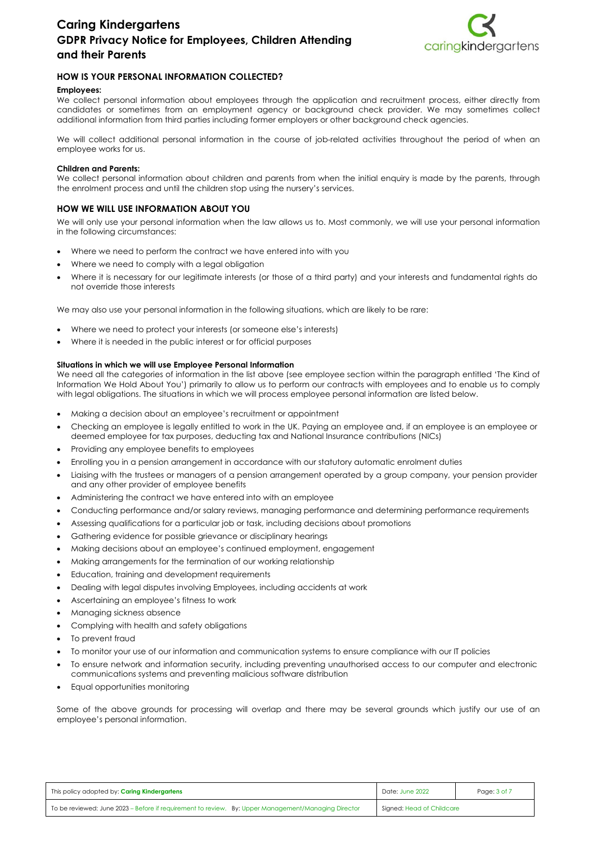

## **HOW IS YOUR PERSONAL INFORMATION COLLECTED?**

#### **Employees:**

We collect personal information about employees through the application and recruitment process, either directly from candidates or sometimes from an employment agency or background check provider. We may sometimes collect additional information from third parties including former employers or other background check agencies.

We will collect additional personal information in the course of job-related activities throughout the period of when an employee works for us.

#### **Children and Parents:**

We collect personal information about children and parents from when the initial enquiry is made by the parents, through the enrolment process and until the children stop using the nursery's services.

## **HOW WE WILL USE INFORMATION ABOUT YOU**

We will only use your personal information when the law allows us to. Most commonly, we will use your personal information in the following circumstances:

- Where we need to perform the contract we have entered into with you
- Where we need to comply with a legal obligation
- Where it is necessary for our legitimate interests (or those of a third party) and your interests and fundamental rights do not override those interests

We may also use your personal information in the following situations, which are likely to be rare:

- Where we need to protect your interests (or someone else's interests)
- Where it is needed in the public interest or for official purposes

#### **Situations in which we will use Employee Personal Information**

We need all the categories of information in the list above (see employee section within the paragraph entitled 'The Kind of Information We Hold About You') primarily to allow us to perform our contracts with employees and to enable us to comply with legal obligations. The situations in which we will process employee personal information are listed below.

- Making a decision about an employee's recruitment or appointment
- Checking an employee is legally entitled to work in the UK. Paying an employee and, if an employee is an employee or deemed employee for tax purposes, deducting tax and National Insurance contributions (NICs)
- Providing any employee benefits to employees
- Enrolling you in a pension arrangement in accordance with our statutory automatic enrolment duties
- Liaising with the trustees or managers of a pension arrangement operated by a group company, your pension provider and any other provider of employee benefits
- Administering the contract we have entered into with an employee
- Conducting performance and/or salary reviews, managing performance and determining performance requirements
- Assessing qualifications for a particular job or task, including decisions about promotions
- Gathering evidence for possible grievance or disciplinary hearings
- Making decisions about an employee's continued employment, engagement
- Making arrangements for the termination of our working relationship
- Education, training and development requirements
- Dealing with legal disputes involving Employees, including accidents at work
- Ascertaining an employee's fitness to work
- Managing sickness absence
- Complying with health and safety obligations
- To prevent fraud
- To monitor your use of our information and communication systems to ensure compliance with our IT policies
- To ensure network and information security, including preventing unauthorised access to our computer and electronic communications systems and preventing malicious software distribution
- Equal opportunities monitoring

Some of the above grounds for processing will overlap and there may be several grounds which justify our use of an employee's personal information.

| This policy adopted by: <b>Caring Kindergartens</b>                                                 | Date: June 2022           | Page: 3 of 7 |
|-----------------------------------------------------------------------------------------------------|---------------------------|--------------|
| To be reviewed: June 2023 – Before if requirement to review. By: Upper Management/Managing Director | Signed: Head of Childcare |              |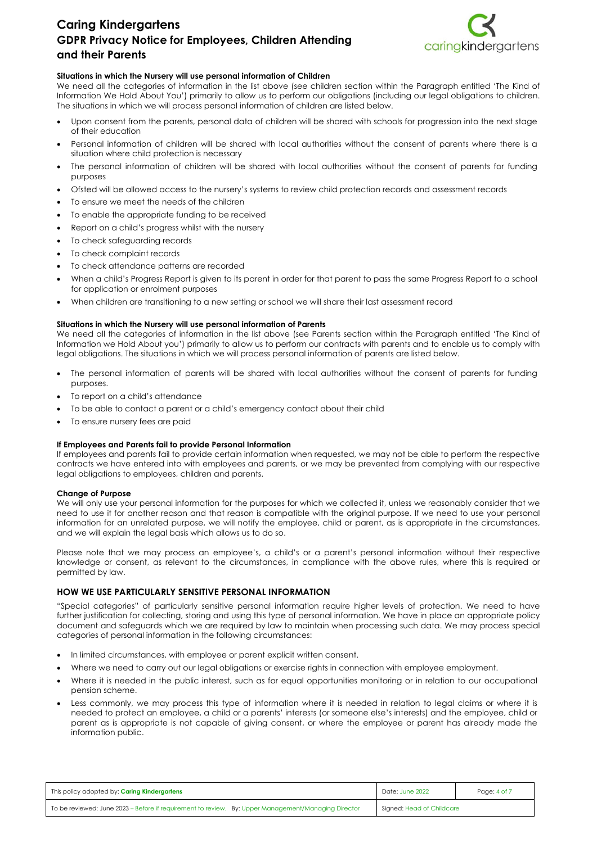

## **Situations in which the Nursery will use personal information of Children**

We need all the categories of information in the list above (see children section within the Paragraph entitled 'The Kind of Information We Hold About You') primarily to allow us to perform our obligations (including our legal obligations to children. The situations in which we will process personal information of children are listed below.

- Upon consent from the parents, personal data of children will be shared with schools for progression into the next stage of their education
- Personal information of children will be shared with local authorities without the consent of parents where there is a situation where child protection is necessary
- The personal information of children will be shared with local authorities without the consent of parents for funding purposes
- Ofsted will be allowed access to the nursery's systems to review child protection records and assessment records
- To ensure we meet the needs of the children
- To enable the appropriate funding to be received
- Report on a child's progress whilst with the nursery
- To check safeguarding records
- To check complaint records
- To check attendance patterns are recorded
- When a child's Progress Report is given to its parent in order for that parent to pass the same Progress Report to a school for application or enrolment purposes
- When children are transitioning to a new setting or school we will share their last assessment record

## **Situations in which the Nursery will use personal information of Parents**

We need all the categories of information in the list above (see Parents section within the Paragraph entitled 'The Kind of Information we Hold About you') primarily to allow us to perform our contracts with parents and to enable us to comply with legal obligations. The situations in which we will process personal information of parents are listed below.

- The personal information of parents will be shared with local authorities without the consent of parents for funding purposes.
- To report on a child's attendance
- To be able to contact a parent or a child's emergency contact about their child
- To ensure nursery fees are paid

## **If Employees and Parents fail to provide Personal Information**

If employees and parents fail to provide certain information when requested, we may not be able to perform the respective contracts we have entered into with employees and parents, or we may be prevented from complying with our respective legal obligations to employees, children and parents.

## **Change of Purpose**

We will only use your personal information for the purposes for which we collected it, unless we reasonably consider that we need to use it for another reason and that reason is compatible with the original purpose. If we need to use your personal information for an unrelated purpose, we will notify the employee, child or parent, as is appropriate in the circumstances, and we will explain the legal basis which allows us to do so.

Please note that we may process an employee's, a child's or a parent's personal information without their respective knowledge or consent, as relevant to the circumstances, in compliance with the above rules, where this is required or permitted by law.

## **HOW WE USE PARTICULARLY SENSITIVE PERSONAL INFORMATION**

"Special categories" of particularly sensitive personal information require higher levels of protection. We need to have further justification for collecting, storing and using this type of personal information. We have in place an appropriate policy document and safeguards which we are required by law to maintain when processing such data. We may process special categories of personal information in the following circumstances:

- In limited circumstances, with employee or parent explicit written consent.
- Where we need to carry out our legal obligations or exercise rights in connection with employee employment.
- Where it is needed in the public interest, such as for equal opportunities monitoring or in relation to our occupational pension scheme.
- Less commonly, we may process this type of information where it is needed in relation to legal claims or where it is needed to protect an employee, a child or a parents' interests (or someone else's interests) and the employee, child or parent as is appropriate is not capable of giving consent, or where the employee or parent has already made the information public.

| This policy adopted by: <b>Caring Kindergartens</b>                                                 | Date: June 2022           | Page: 4 of 7 |
|-----------------------------------------------------------------------------------------------------|---------------------------|--------------|
| To be reviewed: June 2023 - Before if requirement to review. By: Upper Management/Managing Director | Signed: Head of Childcare |              |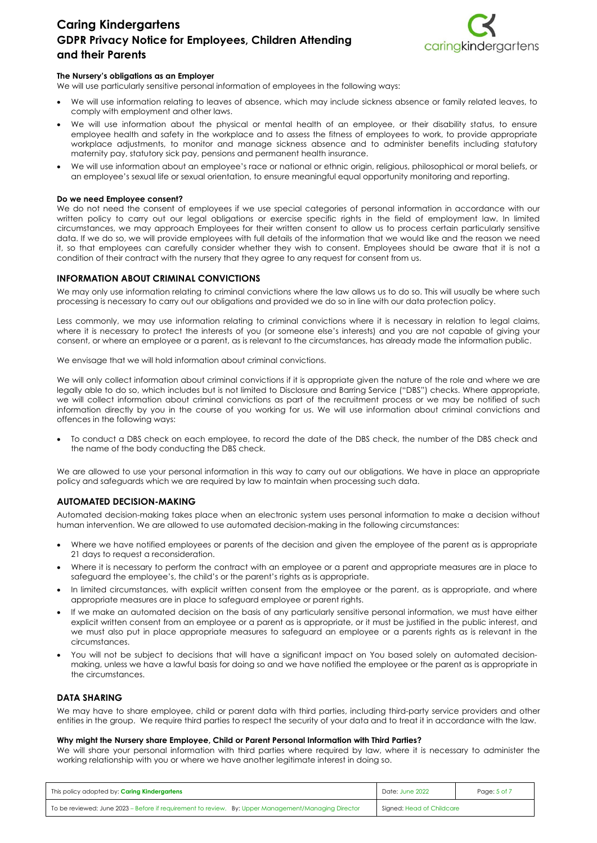

#### **The Nursery's obligations as an Employer**

We will use particularly sensitive personal information of employees in the following ways:

- We will use information relating to leaves of absence, which may include sickness absence or family related leaves, to comply with employment and other laws.
- We will use information about the physical or mental health of an employee, or their disability status, to ensure employee health and safety in the workplace and to assess the fitness of employees to work, to provide appropriate workplace adjustments, to monitor and manage sickness absence and to administer benefits including statutory maternity pay, statutory sick pay, pensions and permanent health insurance.
- We will use information about an employee's race or national or ethnic origin, religious, philosophical or moral beliefs, or an employee's sexual life or sexual orientation, to ensure meaningful equal opportunity monitoring and reporting.

#### **Do we need Employee consent?**

We do not need the consent of employees if we use special categories of personal information in accordance with our written policy to carry out our legal obligations or exercise specific rights in the field of employment law. In limited circumstances, we may approach Employees for their written consent to allow us to process certain particularly sensitive data. If we do so, we will provide employees with full details of the information that we would like and the reason we need it, so that employees can carefully consider whether they wish to consent. Employees should be aware that it is not a condition of their contract with the nursery that they agree to any request for consent from us.

## **INFORMATION ABOUT CRIMINAL CONVICTIONS**

We may only use information relating to criminal convictions where the law allows us to do so. This will usually be where such processing is necessary to carry out our obligations and provided we do so in line with our data protection policy.

Less commonly, we may use information relating to criminal convictions where it is necessary in relation to legal claims, where it is necessary to protect the interests of you (or someone else's interests) and you are not capable of giving your consent, or where an employee or a parent, as is relevant to the circumstances, has already made the information public.

We envisage that we will hold information about criminal convictions.

We will only collect information about criminal convictions if it is appropriate given the nature of the role and where we are legally able to do so, which includes but is not limited to Disclosure and Barring Service ("DBS") checks. Where appropriate, we will collect information about criminal convictions as part of the recruitment process or we may be notified of such information directly by you in the course of you working for us. We will use information about criminal convictions and offences in the following ways:

 To conduct a DBS check on each employee, to record the date of the DBS check, the number of the DBS check and the name of the body conducting the DBS check.

We are allowed to use your personal information in this way to carry out our obligations. We have in place an appropriate policy and safeguards which we are required by law to maintain when processing such data.

## **AUTOMATED DECISION-MAKING**

Automated decision-making takes place when an electronic system uses personal information to make a decision without human intervention. We are allowed to use automated decision-making in the following circumstances:

- Where we have notified employees or parents of the decision and given the employee of the parent as is appropriate 21 days to request a reconsideration.
- Where it is necessary to perform the contract with an employee or a parent and appropriate measures are in place to safeguard the employee's, the child's or the parent's rights as is appropriate.
- In limited circumstances, with explicit written consent from the employee or the parent, as is appropriate, and where appropriate measures are in place to safeguard employee or parent rights.
- If we make an automated decision on the basis of any particularly sensitive personal information, we must have either explicit written consent from an employee or a parent as is appropriate, or it must be justified in the public interest, and we must also put in place appropriate measures to safeguard an employee or a parents rights as is relevant in the circumstances.
- You will not be subject to decisions that will have a significant impact on You based solely on automated decisionmaking, unless we have a lawful basis for doing so and we have notified the employee or the parent as is appropriate in the circumstances.

## **DATA SHARING**

We may have to share employee, child or parent data with third parties, including third-party service providers and other entities in the group. We require third parties to respect the security of your data and to treat it in accordance with the law.

#### **Why might the Nursery share Employee, Child or Parent Personal Information with Third Parties?**

We will share your personal information with third parties where required by law, where it is necessary to administer the working relationship with you or where we have another legitimate interest in doing so.

| This policy adopted by: <b>Caring Kindergartens</b>                                                 | Date: June 2022           | Page: 5 of 7 |
|-----------------------------------------------------------------------------------------------------|---------------------------|--------------|
| To be reviewed: June 2023 – Before if requirement to review. By: Upper Management/Managing Director | Signed: Head of Childcare |              |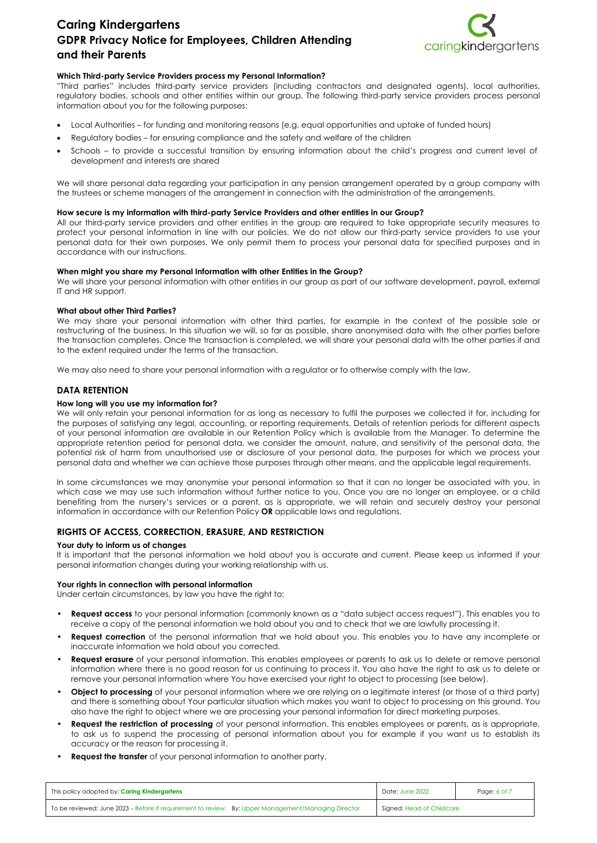

## **Which Third-party Service Providers process my Personal Information?**

"Third parties" includes third-party service providers (including contractors and designated agents), local authorities, regulatory bodies, schools and other entities within our group. The following third-party service providers process personal information about you for the following purposes:

- Local Authorities for funding and monitoring reasons (e.g. equal opportunities and uptake of funded hours)
- Regulatory bodies for ensuring compliance and the safety and welfare of the children
- Schools to provide a successful transition by ensuring information about the child's progress and current level of development and interests are shared

We will share personal data regarding your participation in any pension arrangement operated by a group company with the trustees or scheme managers of the arrangement in connection with the administration of the arrangements.

#### **How secure is my information with third-party Service Providers and other entities in our Group?**

All our third-party service providers and other entities in the group are required to take appropriate security measures to protect your personal information in line with our policies. We do not allow our third-party service providers to use your personal data for their own purposes. We only permit them to process your personal data for specified purposes and in accordance with our instructions.

#### **When might you share my Personal Information with other Entities in the Group?**

We will share your personal information with other entities in our group as part of our software development, payroll, external IT and HR support.

#### **What about other Third Parties?**

We may share your personal information with other third parties, for example in the context of the possible sale or restructuring of the business. In this situation we will, so far as possible, share anonymised data with the other parties before the transaction completes. Once the transaction is completed, we will share your personal data with the other parties if and to the extent required under the terms of the transaction.

We may also need to share your personal information with a regulator or to otherwise comply with the law.

## **DATA RETENTION**

#### **How long will you use my information for?**

We will only retain your personal information for as long as necessary to fulfil the purposes we collected it for, including for the purposes of satisfying any legal, accounting, or reporting requirements. Details of retention periods for different aspects of your personal information are available in our Retention Policy which is available from the Manager. To determine the appropriate retention period for personal data, we consider the amount, nature, and sensitivity of the personal data, the potential risk of harm from unauthorised use or disclosure of your personal data, the purposes for which we process your personal data and whether we can achieve those purposes through other means, and the applicable legal requirements.

In some circumstances we may anonymise your personal information so that it can no longer be associated with you, in which case we may use such information without further notice to you. Once you are no longer an employee, or a child benefiting from the nursery's services or a parent, as is appropriate, we will retain and securely destroy your personal information in accordance with our Retention Policy **OR** applicable laws and regulations.

## **RIGHTS OF ACCESS, CORRECTION, ERASURE, AND RESTRICTION**

#### **Your duty to inform us of changes**

It is important that the personal information we hold about you is accurate and current. Please keep us informed if your personal information changes during your working relationship with us.

#### **Your rights in connection with personal information**

Under certain circumstances, by law you have the right to:

- **Request access** to your personal information (commonly known as a "data subject access request"). This enables you to receive a copy of the personal information we hold about you and to check that we are lawfully processing it.
- **Request correction** of the personal information that we hold about you. This enables you to have any incomplete or inaccurate information we hold about you corrected.
- **Request erasure** of your personal information. This enables employees or parents to ask us to delete or remove personal information where there is no good reason for us continuing to process it. You also have the right to ask us to delete or remove your personal information where You have exercised your right to object to processing (see below).
- **Object to processing** of your personal information where we are relying on a legitimate interest (or those of a third party) and there is something about Your particular situation which makes you want to object to processing on this ground. You also have the right to object where we are processing your personal information for direct marketing purposes.
- **Request the restriction of processing** of your personal information. This enables employees or parents, as is appropriate, to ask us to suspend the processing of personal information about you for example if you want us to establish its accuracy or the reason for processing it.
- **Request the transfer** of your personal information to another party.

| This policy adopted by: <b>Caring Kindergartens</b>                                                 | Date: June 2022           | Page: 6 of 7 |
|-----------------------------------------------------------------------------------------------------|---------------------------|--------------|
| To be reviewed: June 2023 – Before if requirement to review. By: Upper Management/Managing Director | Signed: Head of Childcare |              |